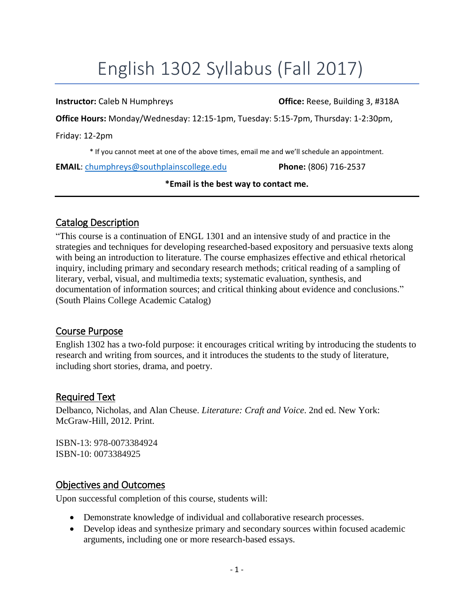# English 1302 Syllabus (Fall 2017)

**Instructor:** Caleb N Humphreys **Caleb 1 All 2018 Office:** Reese, Building 3, #318A

**Office Hours:** Monday/Wednesday: 12:15-1pm, Tuesday: 5:15-7pm, Thursday: 1-2:30pm,

Friday: 12-2pm

\* If you cannot meet at one of the above times, email me and we'll schedule an appointment.

**EMAIL**: [chumphreys@southplainscollege.edu](mailto:chumphreys@southplainscollege.edu) **Phone:** (806) 716-2537

#### **\*Email is the best way to contact me.**

## Catalog Description

"This course is a continuation of ENGL 1301 and an intensive study of and practice in the strategies and techniques for developing researched-based expository and persuasive texts along with being an introduction to literature. The course emphasizes effective and ethical rhetorical inquiry, including primary and secondary research methods; critical reading of a sampling of literary, verbal, visual, and multimedia texts; systematic evaluation, synthesis, and documentation of information sources; and critical thinking about evidence and conclusions." (South Plains College Academic Catalog)

#### Course Purpose

English 1302 has a two-fold purpose: it encourages critical writing by introducing the students to research and writing from sources, and it introduces the students to the study of literature, including short stories, drama, and poetry.

## Required Text

Delbanco, Nicholas, and Alan Cheuse. *Literature: Craft and Voice*. 2nd ed. New York: McGraw-Hill, 2012. Print.

ISBN-13: 978-0073384924 ISBN-10: 0073384925

## Objectives and Outcomes

Upon successful completion of this course, students will:

- Demonstrate knowledge of individual and collaborative research processes.
- Develop ideas and synthesize primary and secondary sources within focused academic arguments, including one or more research-based essays.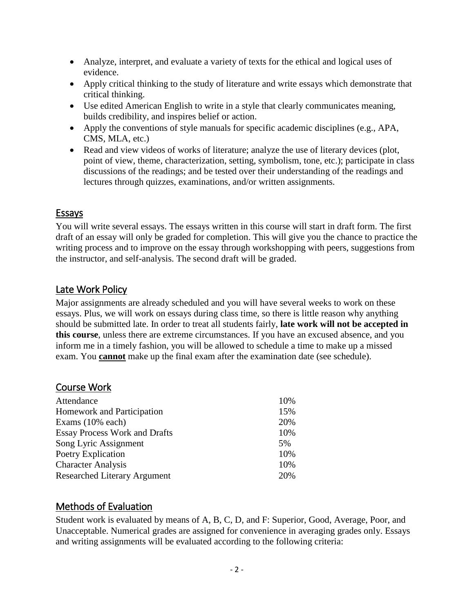- Analyze, interpret, and evaluate a variety of texts for the ethical and logical uses of evidence.
- Apply critical thinking to the study of literature and write essays which demonstrate that critical thinking.
- Use edited American English to write in a style that clearly communicates meaning, builds credibility, and inspires belief or action.
- Apply the conventions of style manuals for specific academic disciplines (e.g., APA, CMS, MLA, etc.)
- Read and view videos of works of literature; analyze the use of literary devices (plot, point of view, theme, characterization, setting, symbolism, tone, etc.); participate in class discussions of the readings; and be tested over their understanding of the readings and lectures through quizzes, examinations, and/or written assignments.

## Essays

You will write several essays. The essays written in this course will start in draft form. The first draft of an essay will only be graded for completion. This will give you the chance to practice the writing process and to improve on the essay through workshopping with peers, suggestions from the instructor, and self-analysis. The second draft will be graded.

## Late Work Policy

Major assignments are already scheduled and you will have several weeks to work on these essays. Plus, we will work on essays during class time, so there is little reason why anything should be submitted late. In order to treat all students fairly, **late work will not be accepted in this course**, unless there are extreme circumstances. If you have an excused absence, and you inform me in a timely fashion, you will be allowed to schedule a time to make up a missed exam. You **cannot** make up the final exam after the examination date (see schedule).

## Course Work

| Attendance                           | 10% |
|--------------------------------------|-----|
| Homework and Participation           | 15% |
| Exams $(10\%$ each)                  | 20% |
| <b>Essay Process Work and Drafts</b> | 10% |
| Song Lyric Assignment                | 5%  |
| Poetry Explication                   | 10% |
| <b>Character Analysis</b>            | 10% |
| <b>Researched Literary Argument</b>  | 20% |

## Methods of Evaluation

Student work is evaluated by means of A, B, C, D, and F: Superior, Good, Average, Poor, and Unacceptable. Numerical grades are assigned for convenience in averaging grades only. Essays and writing assignments will be evaluated according to the following criteria: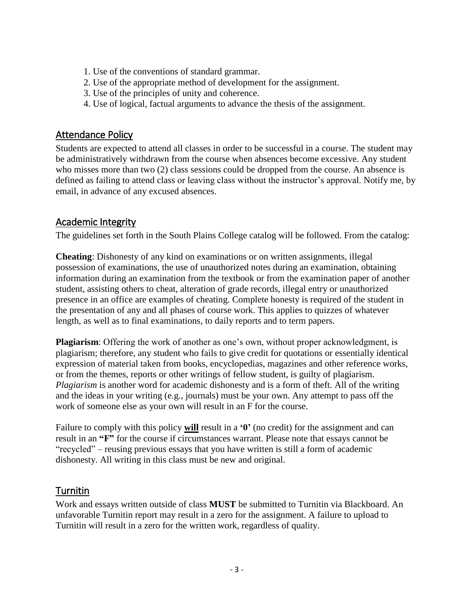- 1. Use of the conventions of standard grammar.
- 2. Use of the appropriate method of development for the assignment.
- 3. Use of the principles of unity and coherence.
- 4. Use of logical, factual arguments to advance the thesis of the assignment.

#### Attendance Policy

Students are expected to attend all classes in order to be successful in a course. The student may be administratively withdrawn from the course when absences become excessive. Any student who misses more than two (2) class sessions could be dropped from the course. An absence is defined as failing to attend class or leaving class without the instructor's approval. Notify me, by email, in advance of any excused absences.

## Academic Integrity

The guidelines set forth in the South Plains College catalog will be followed. From the catalog:

**Cheating**: Dishonesty of any kind on examinations or on written assignments, illegal possession of examinations, the use of unauthorized notes during an examination, obtaining information during an examination from the textbook or from the examination paper of another student, assisting others to cheat, alteration of grade records, illegal entry or unauthorized presence in an office are examples of cheating. Complete honesty is required of the student in the presentation of any and all phases of course work. This applies to quizzes of whatever length, as well as to final examinations, to daily reports and to term papers.

**Plagiarism**: Offering the work of another as one's own, without proper acknowledgment, is plagiarism; therefore, any student who fails to give credit for quotations or essentially identical expression of material taken from books, encyclopedias, magazines and other reference works, or from the themes, reports or other writings of fellow student, is guilty of plagiarism. *Plagiarism* is another word for academic dishonesty and is a form of theft. All of the writing and the ideas in your writing (e.g., journals) must be your own. Any attempt to pass off the work of someone else as your own will result in an F for the course.

Failure to comply with this policy **will** result in a **'0'** (no credit) for the assignment and can result in an **"F"** for the course if circumstances warrant. Please note that essays cannot be "recycled" – reusing previous essays that you have written is still a form of academic dishonesty. All writing in this class must be new and original.

## Turnitin

Work and essays written outside of class **MUST** be submitted to Turnitin via Blackboard. An unfavorable Turnitin report may result in a zero for the assignment. A failure to upload to Turnitin will result in a zero for the written work, regardless of quality.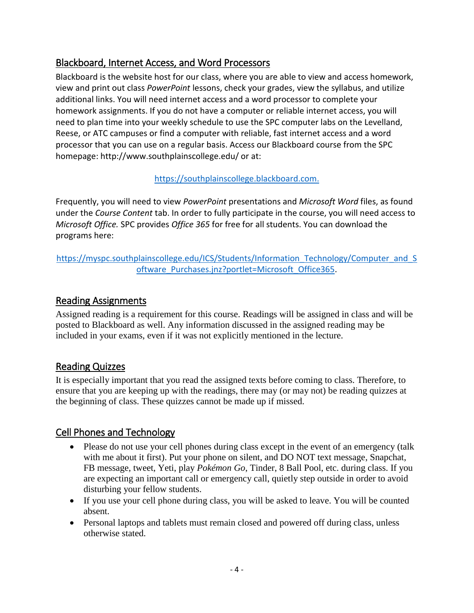## Blackboard, Internet Access, and Word Processors

Blackboard is the website host for our class, where you are able to view and access homework, view and print out class *PowerPoint* lessons, check your grades, view the syllabus, and utilize additional links. You will need internet access and a word processor to complete your homework assignments. If you do not have a computer or reliable internet access, you will need to plan time into your weekly schedule to use the SPC computer labs on the Levelland, Reese, or ATC campuses or find a computer with reliable, fast internet access and a word processor that you can use on a regular basis. Access our Blackboard course from the SPC homepage: http://www.southplainscollege.edu/ or at:

## [https://southplainscollege.blackboard.com.](https://southplainscollege.blackboard.com/)

Frequently, you will need to view *PowerPoint* presentations and *Microsoft Word* files, as found under the *Course Content* tab. In order to fully participate in the course, you will need access to *Microsoft Office.* SPC provides *Office 365* for free for all students. You can download the programs here:

[https://myspc.southplainscollege.edu/ICS/Students/Information\\_Technology/Computer\\_and\\_S](https://myspc.southplainscollege.edu/ICS/Students/Information_Technology/Computer_and_Software_Purchases.jnz?portlet=Microsoft_Office365) [oftware\\_Purchases.jnz?portlet=Microsoft\\_Office365.](https://myspc.southplainscollege.edu/ICS/Students/Information_Technology/Computer_and_Software_Purchases.jnz?portlet=Microsoft_Office365)

## Reading Assignments

Assigned reading is a requirement for this course. Readings will be assigned in class and will be posted to Blackboard as well. Any information discussed in the assigned reading may be included in your exams, even if it was not explicitly mentioned in the lecture.

## Reading Quizzes

It is especially important that you read the assigned texts before coming to class. Therefore, to ensure that you are keeping up with the readings, there may (or may not) be reading quizzes at the beginning of class. These quizzes cannot be made up if missed.

## Cell Phones and Technology

- Please do not use your cell phones during class except in the event of an emergency (talk with me about it first). Put your phone on silent, and DO NOT text message, Snapchat, FB message, tweet, Yeti, play *Pokémon Go*, Tinder, 8 Ball Pool, etc. during class. If you are expecting an important call or emergency call, quietly step outside in order to avoid disturbing your fellow students.
- If you use your cell phone during class, you will be asked to leave. You will be counted absent.
- Personal laptops and tablets must remain closed and powered off during class, unless otherwise stated.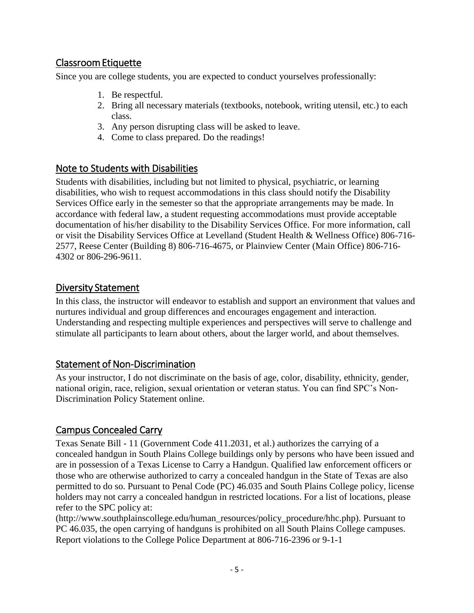## Classroom Etiquette

Since you are college students, you are expected to conduct yourselves professionally:

- 1. Be respectful.
- 2. Bring all necessary materials (textbooks, notebook, writing utensil, etc.) to each class.
- 3. Any person disrupting class will be asked to leave.
- 4. Come to class prepared. Do the readings!

## Note to Students with Disabilities

Students with disabilities, including but not limited to physical, psychiatric, or learning disabilities, who wish to request accommodations in this class should notify the Disability Services Office early in the semester so that the appropriate arrangements may be made. In accordance with federal law, a student requesting accommodations must provide acceptable documentation of his/her disability to the Disability Services Office. For more information, call or visit the Disability Services Office at Levelland (Student Health & Wellness Office) 806-716- 2577, Reese Center (Building 8) 806-716-4675, or Plainview Center (Main Office) 806-716- 4302 or 806-296-9611.

## Diversity Statement

In this class, the instructor will endeavor to establish and support an environment that values and nurtures individual and group differences and encourages engagement and interaction. Understanding and respecting multiple experiences and perspectives will serve to challenge and stimulate all participants to learn about others, about the larger world, and about themselves.

## Statement of Non-Discrimination

As your instructor, I do not discriminate on the basis of age, color, disability, ethnicity, gender, national origin, race, religion, sexual orientation or veteran status. You can find SPC's Non-Discrimination Policy Statement online.

## Campus Concealed Carry

Texas Senate Bill - 11 (Government Code 411.2031, et al.) authorizes the carrying of a concealed handgun in South Plains College buildings only by persons who have been issued and are in possession of a Texas License to Carry a Handgun. Qualified law enforcement officers or those who are otherwise authorized to carry a concealed handgun in the State of Texas are also permitted to do so. Pursuant to Penal Code (PC) 46.035 and South Plains College policy, license holders may not carry a concealed handgun in restricted locations. For a list of locations, please refer to the SPC policy at:

(http://www.southplainscollege.edu/human\_resources/policy\_procedure/hhc.php). Pursuant to PC 46.035, the open carrying of handguns is prohibited on all South Plains College campuses. Report violations to the College Police Department at 806-716-2396 or 9-1-1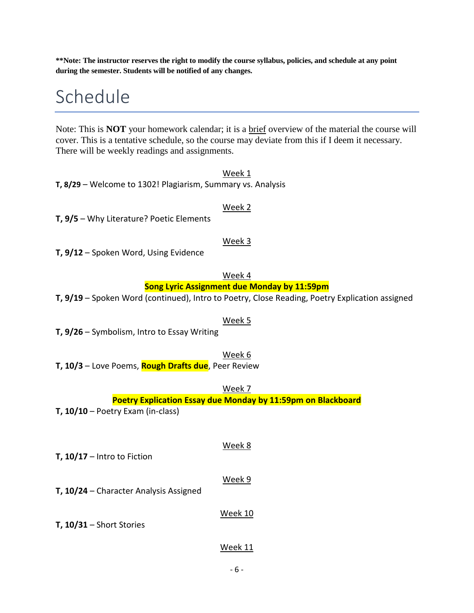**\*\*Note: The instructor reserves the right to modify the course syllabus, policies, and schedule at any point during the semester. Students will be notified of any changes.**

## Schedule

Note: This is **NOT** your homework calendar; it is a brief overview of the material the course will cover. This is a tentative schedule, so the course may deviate from this if I deem it necessary. There will be weekly readings and assignments.

Week 1 **T, 8/29** – Welcome to 1302! Plagiarism, Summary vs. Analysis

#### Week 2

**T, 9/5** – Why Literature? Poetic Elements

#### Week 3

**T, 9/12** – Spoken Word, Using Evidence

#### Week 4

#### **Song Lyric Assignment due Monday by 11:59pm**

**T, 9/19** – Spoken Word (continued), Intro to Poetry, Close Reading, Poetry Explication assigned

#### Week 5

**T, 9/26** – Symbolism, Intro to Essay Writing

#### Week 6

**T, 10/3** – Love Poems, **Rough Drafts due**, Peer Review

Week 7

#### **Poetry Explication Essay due Monday by 11:59pm on Blackboard**

- **T, 10/10**  Poetry Exam (in-class)
- **T, 10/17**  Intro to Fiction

#### Week 9

Week 8

**T, 10/24** – Character Analysis Assigned

#### Week 10

#### **T, 10/31** – Short Stories

#### Week 11